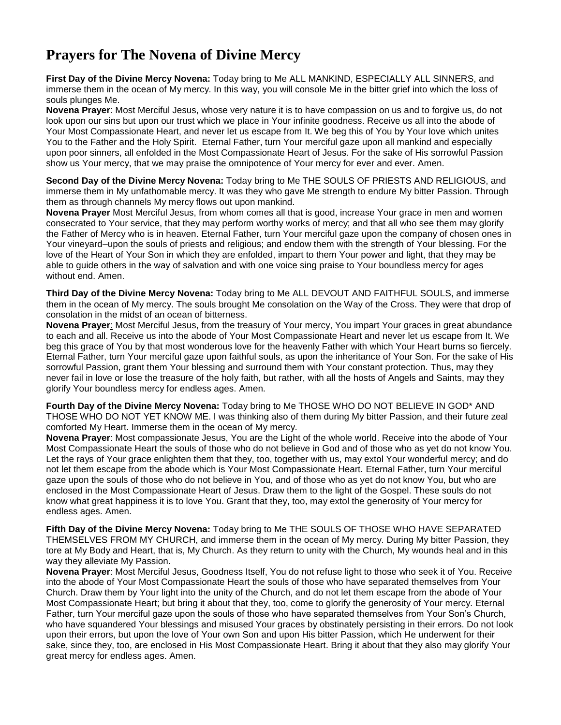## **Prayers for The Novena of Divine Mercy**

**First Day of the Divine Mercy Novena:** Today bring to Me ALL MANKIND, ESPECIALLY ALL SINNERS, and immerse them in the ocean of My mercy. In this way, you will console Me in the bitter grief into which the loss of souls plunges Me.

**Novena Prayer**: Most Merciful Jesus, whose very nature it is to have compassion on us and to forgive us, do not look upon our sins but upon our trust which we place in Your infinite goodness. Receive us all into the abode of Your Most Compassionate Heart, and never let us escape from It. We beg this of You by Your love which unites You to the Father and the Holy Spirit. Eternal Father, turn Your merciful gaze upon all mankind and especially upon poor sinners, all enfolded in the Most Compassionate Heart of Jesus. For the sake of His sorrowful Passion show us Your mercy, that we may praise the omnipotence of Your mercy for ever and ever. Amen.

**Second Day of the Divine Mercy Novena:** Today bring to Me THE SOULS OF PRIESTS AND RELIGIOUS, and immerse them in My unfathomable mercy. It was they who gave Me strength to endure My bitter Passion. Through them as through channels My mercy flows out upon mankind.

**Novena Prayer** Most Merciful Jesus, from whom comes all that is good, increase Your grace in men and women consecrated to Your service, that they may perform worthy works of mercy; and that all who see them may glorify the Father of Mercy who is in heaven. Eternal Father, turn Your merciful gaze upon the company of chosen ones in Your vineyard–upon the souls of priests and religious; and endow them with the strength of Your blessing. For the love of the Heart of Your Son in which they are enfolded, impart to them Your power and light, that they may be able to guide others in the way of salvation and with one voice sing praise to Your boundless mercy for ages without end. Amen.

**Third Day of the Divine Mercy Novena:** Today bring to Me ALL DEVOUT AND FAITHFUL SOULS, and immerse them in the ocean of My mercy. The souls brought Me consolation on the Way of the Cross. They were that drop of consolation in the midst of an ocean of bitterness.

**Novena Prayer**: Most Merciful Jesus, from the treasury of Your mercy, You impart Your graces in great abundance to each and all. Receive us into the abode of Your Most Compassionate Heart and never let us escape from It. We beg this grace of You by that most wonderous love for the heavenly Father with which Your Heart burns so fiercely. Eternal Father, turn Your merciful gaze upon faithful souls, as upon the inheritance of Your Son. For the sake of His sorrowful Passion, grant them Your blessing and surround them with Your constant protection. Thus, may they never fail in love or lose the treasure of the holy faith, but rather, with all the hosts of Angels and Saints, may they glorify Your boundless mercy for endless ages. Amen.

**Fourth Day of the Divine Mercy Novena:** Today bring to Me THOSE WHO DO NOT BELIEVE IN GOD\* AND THOSE WHO DO NOT YET KNOW ME. I was thinking also of them during My bitter Passion, and their future zeal comforted My Heart. Immerse them in the ocean of My mercy.

**Novena Prayer**: Most compassionate Jesus, You are the Light of the whole world. Receive into the abode of Your Most Compassionate Heart the souls of those who do not believe in God and of those who as yet do not know You. Let the rays of Your grace enlighten them that they, too, together with us, may extol Your wonderful mercy; and do not let them escape from the abode which is Your Most Compassionate Heart. Eternal Father, turn Your merciful gaze upon the souls of those who do not believe in You, and of those who as yet do not know You, but who are enclosed in the Most Compassionate Heart of Jesus. Draw them to the light of the Gospel. These souls do not know what great happiness it is to love You. Grant that they, too, may extol the generosity of Your mercy for endless ages. Amen.

**Fifth Day of the Divine Mercy Novena:** Today bring to Me THE SOULS OF THOSE WHO HAVE SEPARATED THEMSELVES FROM MY CHURCH, and immerse them in the ocean of My mercy. During My bitter Passion, they tore at My Body and Heart, that is, My Church. As they return to unity with the Church, My wounds heal and in this way they alleviate My Passion.

**Novena Prayer**: Most Merciful Jesus, Goodness Itself, You do not refuse light to those who seek it of You. Receive into the abode of Your Most Compassionate Heart the souls of those who have separated themselves from Your Church. Draw them by Your light into the unity of the Church, and do not let them escape from the abode of Your Most Compassionate Heart; but bring it about that they, too, come to glorify the generosity of Your mercy. Eternal Father, turn Your merciful gaze upon the souls of those who have separated themselves from Your Son's Church, who have squandered Your blessings and misused Your graces by obstinately persisting in their errors. Do not look upon their errors, but upon the love of Your own Son and upon His bitter Passion, which He underwent for their sake, since they, too, are enclosed in His Most Compassionate Heart. Bring it about that they also may glorify Your great mercy for endless ages. Amen.